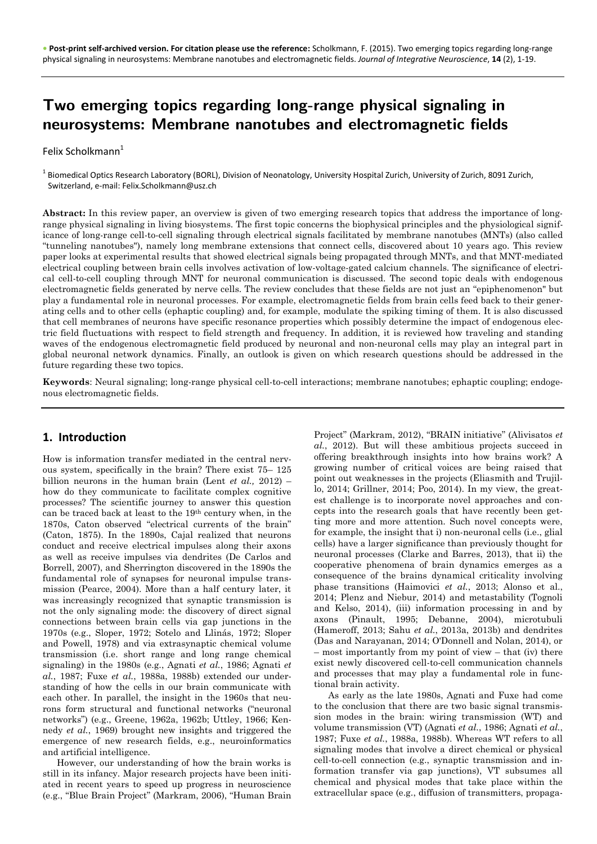# Two emerging topics regarding long-range physical signaling in neurosystems: Membrane nanotubes and electromagnetic fields

#### Felix Scholkmann<sup>1</sup>

 $^{\rm 1}$  Biomedical Optics Research Laboratory (BORL), Division of Neonatology, University Hospital Zurich, University of Zurich, 8091 Zurich, Switzerland, e-mail: Felix.Scholkmann@usz.ch

**Abstract:** In this review paper, an overview is given of two emerging research topics that address the importance of longrange physical signaling in living biosystems. The first topic concerns the biophysical principles and the physiological significance of long-range cell-to-cell signaling through electrical signals facilitated by membrane nanotubes (MNTs) (also called "tunneling nanotubes"), namely long membrane extensions that connect cells, discovered about 10 years ago. This review paper looks at experimental results that showed electrical signals being propagated through MNTs, and that MNT-mediated electrical coupling between brain cells involves activation of low-voltage-gated calcium channels. The significance of electrical cell-to-cell coupling through MNT for neuronal communication is discussed. The second topic deals with endogenous electromagnetic fields generated by nerve cells. The review concludes that these fields are not just an "epiphenomenon" but play a fundamental role in neuronal processes. For example, electromagnetic fields from brain cells feed back to their generating cells and to other cells (ephaptic coupling) and, for example, modulate the spiking timing of them. It is also discussed that cell membranes of neurons have specific resonance properties which possibly determine the impact of endogenous electric field fluctuations with respect to field strength and frequency. In addition, it is reviewed how traveling and standing waves of the endogenous electromagnetic field produced by neuronal and non-neuronal cells may play an integral part in global neuronal network dynamics. Finally, an outlook is given on which research questions should be addressed in the future regarding these two topics.

**Keywords**: Neural signaling; long-range physical cell-to-cell interactions; membrane nanotubes; ephaptic coupling; endogenous electromagnetic fields.

# **1. Introduction**

How is information transfer mediated in the central nervous system, specifically in the brain? There exist 75– 125 billion neurons in the human brain (Lent *et al.,* 2012) – how do they communicate to facilitate complex cognitive processes? The scientific journey to answer this question can be traced back at least to the 19th century when, in the 1870s, Caton observed "electrical currents of the brain" (Caton, 1875). In the 1890s, Cajal realized that neurons conduct and receive electrical impulses along their axons as well as receive impulses via dendrites (De Carlos and Borrell, 2007), and Sherrington discovered in the 1890s the fundamental role of synapses for neuronal impulse transmission (Pearce, 2004). More than a half century later, it was increasingly recognized that synaptic transmission is not the only signaling mode: the discovery of direct signal connections between brain cells via gap junctions in the 1970s (e.g., Sloper, 1972; Sotelo and Llinás, 1972; Sloper and Powell, 1978) and via extrasynaptic chemical volume transmission (i.e. short range and long range chemical signaling) in the 1980s (e.g., Agnati *et al.*, 1986; Agnati *et al.*, 1987; Fuxe *et al.*, 1988a, 1988b) extended our understanding of how the cells in our brain communicate with each other. In parallel, the insight in the 1960s that neurons form structural and functional networks ("neuronal networks") (e.g., Greene, 1962a, 1962b; Uttley, 1966; Kennedy *et al.*, 1969) brought new insights and triggered the emergence of new research fields, e.g., neuroinformatics and artificial intelligence.

However, our understanding of how the brain works is still in its infancy. Major research projects have been initiated in recent years to speed up progress in neuroscience (e.g., "Blue Brain Project" (Markram, 2006), "Human Brain

Project" (Markram, 2012), "BRAIN initiative" (Alivisatos *et al.*, 2012). But will these ambitious projects succeed in offering breakthrough insights into how brains work? A growing number of critical voices are being raised that point out weaknesses in the projects (Eliasmith and Trujillo, 2014; Grillner, 2014; Poo, 2014). In my view, the greatest challenge is to incorporate novel approaches and concepts into the research goals that have recently been getting more and more attention. Such novel concepts were, for example, the insight that i) non-neuronal cells (i.e., glial cells) have a larger significance than previously thought for neuronal processes (Clarke and Barres, 2013), that ii) the cooperative phenomena of brain dynamics emerges as a consequence of the brains dynamical criticality involving phase transitions (Haimovici *et al.*, 2013; Alonso et al., 2014; Plenz and Niebur, 2014) and metastability (Tognoli and Kelso, 2014), (iii) information processing in and by axons (Pinault, 1995; Debanne, 2004), microtubuli (Hameroff, 2013; Sahu *et al.*, 2013a, 2013b) and dendrites (Das and Narayanan, 2014; O'Donnell and Nolan, 2014), or – most importantly from my point of view – that (iv) there exist newly discovered cell-to-cell communication channels and processes that may play a fundamental role in functional brain activity.

As early as the late 1980s, Agnati and Fuxe had come to the conclusion that there are two basic signal transmission modes in the brain: wiring transmission (WT) and volume transmission (VT) (Agnati *et al.*, 1986; Agnati *et al.*, 1987; Fuxe *et al.*, 1988a, 1988b). Whereas WT refers to all signaling modes that involve a direct chemical or physical cell-to-cell connection (e.g., synaptic transmission and information transfer via gap junctions), VT subsumes all chemical and physical modes that take place within the extracellular space (e.g., diffusion of transmitters, propaga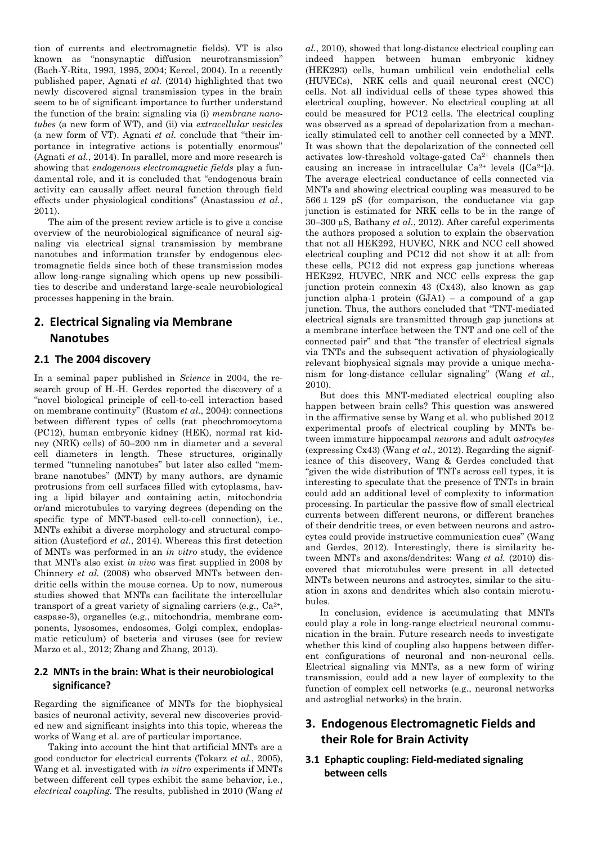tion of currents and electromagnetic fields). VT is also known as "nonsynaptic diffusion neurotransmission" (Bach-Y-Rita, 1993, 1995, 2004; Kercel, 2004). In a recently published paper, Agnati *et al.* (2014) highlighted that two newly discovered signal transmission types in the brain seem to be of significant importance to further understand the function of the brain: signaling via (i) *membrane nanotubes* (a new form of WT), and (ii) via *extracellular vesicles* (a new form of VT). Agnati *et al.* conclude that "their importance in integrative actions is potentially enormous" (Agnati *et al.*, 2014). In parallel, more and more research is showing that *endogenous electromagnetic fields* play a fundamental role, and it is concluded that "endogenous brain activity can causally affect neural function through field effects under physiological conditions" (Anastassiou *et al.*, 2011).

The aim of the present review article is to give a concise overview of the neurobiological significance of neural signaling via electrical signal transmission by membrane nanotubes and information transfer by endogenous electromagnetic fields since both of these transmission modes allow long-range signaling which opens up new possibilities to describe and understand large-scale neurobiological processes happening in the brain.

# **2. Electrical Signaling via Membrane Nanotubes**

## **2.1 The 2004 discovery**

In a seminal paper published in *Science* in 2004, the research group of H.-H. Gerdes reported the discovery of a "novel biological principle of cell-to-cell interaction based on membrane continuity" (Rustom *et al.*, 2004): connections between different types of cells (rat pheochromocytoma (PC12), human embryonic kidney (HEK), normal rat kidney (NRK) cells) of 50–200 nm in diameter and a several cell diameters in length. These structures, originally termed "tunneling nanotubes" but later also called "membrane nanotubes" (MNT) by many authors, are dynamic protrusions from cell surfaces filled with cytoplasma, having a lipid bilayer and containing actin, mitochondria or/and microtubules to varying degrees (depending on the specific type of MNT-based cell-to-cell connection), i.e., MNTs exhibit a diverse morphology and structural composition (Austefjord *et al.*, 2014). Whereas this first detection of MNTs was performed in an *in vitro* study, the evidence that MNTs also exist *in vivo* was first supplied in 2008 by Chinnery *et al.* (2008) who observed MNTs between dendritic cells within the mouse cornea. Up to now, numerous studies showed that MNTs can facilitate the intercellular transport of a great variety of signaling carriers (e.g.,  $Ca^{2+}$ , caspase-3), organelles (e.g., mitochondria, membrane components, lysosomes, endosomes, Golgi complex, endoplasmatic reticulum) of bacteria and viruses (see for review Marzo et al., 2012; Zhang and Zhang, 2013).

#### **2.2 MNTs in the brain: What is their neurobiological significance?**

Regarding the significance of MNTs for the biophysical basics of neuronal activity, several new discoveries provided new and significant insights into this topic, whereas the works of Wang et al. are of particular importance.

Taking into account the hint that artificial MNTs are a good conductor for electrical currents (Tokarz *et al.*, 2005), Wang et al. investigated with *in vitro* experiments if MNTs between different cell types exhibit the same behavior, i.e., *electrical coupling.* The results, published in 2010 (Wang *et* 

*al.*, 2010), showed that long-distance electrical coupling can indeed happen between human embryonic kidney (HEK293) cells, human umbilical vein endothelial cells (HUVECs), NRK cells and quail neuronal crest (NCC) cells. Not all individual cells of these types showed this electrical coupling, however. No electrical coupling at all could be measured for PC12 cells. The electrical coupling was observed as a spread of depolarization from a mechanically stimulated cell to another cell connected by a MNT. It was shown that the depolarization of the connected cell activates low-threshold voltage-gated  $Ca<sup>2+</sup>$  channels then causing an increase in intracellular  $Ca^{2+}$  levels  $([Ca^{2+}]i)$ . The average electrical conductance of cells connected via MNTs and showing electrical coupling was measured to be  $566 \pm 129$  pS (for comparison, the conductance via gap junction is estimated for NRK cells to be in the range of 30–300 µS, Bathany *et al.*, 2012). After careful experiments the authors proposed a solution to explain the observation that not all HEK292, HUVEC, NRK and NCC cell showed electrical coupling and PC12 did not show it at all: from these cells, PC12 did not express gap junctions whereas HEK292, HUVEC, NRK and NCC cells express the gap junction protein connexin 43 (Cx43), also known as gap junction alpha-1 protein (GJA1) – a compound of a gap junction. Thus, the authors concluded that "TNT-mediated electrical signals are transmitted through gap junctions at a membrane interface between the TNT and one cell of the connected pair" and that "the transfer of electrical signals via TNTs and the subsequent activation of physiologically relevant biophysical signals may provide a unique mechanism for long-distance cellular signaling" (Wang *et al.*, 2010).

But does this MNT-mediated electrical coupling also happen between brain cells? This question was answered in the affirmative sense by Wang et al. who published 2012 experimental proofs of electrical coupling by MNTs between immature hippocampal *neurons* and adult *astrocytes* (expressing Cx43) (Wang *et al.*, 2012). Regarding the significance of this discovery, Wang & Gerdes concluded that "given the wide distribution of TNTs across cell types, it is interesting to speculate that the presence of TNTs in brain could add an additional level of complexity to information processing. In particular the passive flow of small electrical currents between different neurons, or different branches of their dendritic trees, or even between neurons and astrocytes could provide instructive communication cues" (Wang and Gerdes, 2012). Interestingly, there is similarity between MNTs and axons/dendrites: Wang *et al.* (2010) discovered that microtubules were present in all detected MNTs between neurons and astrocytes, similar to the situation in axons and dendrites which also contain microtubules.

In conclusion, evidence is accumulating that MNTs could play a role in long-range electrical neuronal communication in the brain. Future research needs to investigate whether this kind of coupling also happens between different configurations of neuronal and non-neuronal cells. Electrical signaling via MNTs, as a new form of wiring transmission, could add a new layer of complexity to the function of complex cell networks (e.g., neuronal networks and astroglial networks) in the brain.

# **3. Endogenous Electromagnetic Fields and their Role for Brain Activity**

## **3.1 Ephaptic coupling: Field-mediated signaling between cells**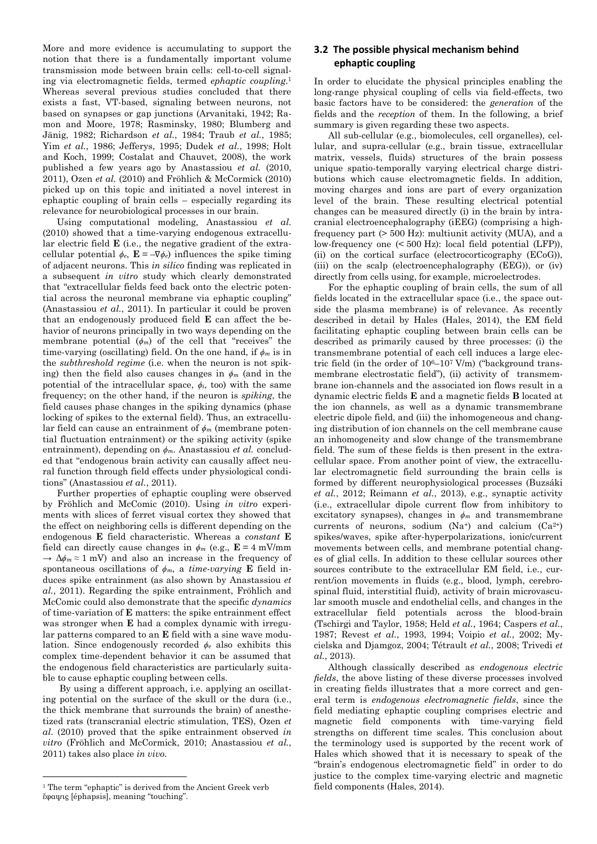More and more evidence is accumulating to support the notion that there is a fundamentally important volume transmission mode between brain cells: cell-to-cell signaling via electromagnetic fields, termed *ephaptic coupling*. 1 Whereas several previous studies concluded that there exists a fast, VT-based, signaling between neurons, not based on synapses or gap junctions (Arvanitaki, 1942; Ramon and Moore, 1978; Rasminsky, 1980; Blumberg and Jänig, 1982; Richardson *et al.*, 1984; Traub *et al.*, 1985; Yim *et al.*, 1986; Jefferys, 1995; Dudek *et al.*, 1998; Holt and Koch, 1999; Costalat and Chauvet, 2008), the work published a few years ago by Anastassiou *et al.* (2010, 2011), Ozen *et al.* (2010) and Fröhlich & McCormick (2010) picked up on this topic and initiated a novel interest in ephaptic coupling of brain cells – especially regarding its relevance for neurobiological processes in our brain.

Using computational modeling, Anastassiou *et al*. (2010) showed that a time-varying endogenous extracellular electric field **E** (i.e., the negative gradient of the extracellular potential  $\phi_e$ ,  $\mathbf{E} = -\nabla \phi_e$ ) influences the spike timing of adjacent neurons. This *in silico* finding was replicated in a subsequent *in vitro* study which clearly demonstrated that "extracellular fields feed back onto the electric potential across the neuronal membrane via ephaptic coupling" (Anastassiou *et al.*, 2011). In particular it could be proven that an endogenously produced field **E** can affect the behavior of neurons principally in two ways depending on the membrane potential (*ϕm*) of the cell that "receives" the time-varying (oscillating) field. On the one hand, if *ϕ<sup>m</sup>* is in the *subthreshold regime* (i.e. when the neuron is not spiking) then the field also causes changes in *ϕ<sup>m</sup>* (and in the potential of the intracellular space,  $\phi$ *i*, too) with the same frequency; on the other hand, if the neuron is *spiking*, the field causes phase changes in the spiking dynamics (phase locking of spikes to the external field). Thus, an extracellular field can cause an entrainment of *ϕ<sup>m</sup>* (membrane potential fluctuation entrainment) or the spiking activity (spike entrainment), depending on *ϕm*. Anastassiou *et al.* concluded that "endogenous brain activity can causally affect neural function through field effects under physiological conditions" (Anastassiou *et al.*, 2011).

Further properties of ephaptic coupling were observed by Fröhlich and McComic (2010). Using *in vitro* experiments with slices of ferret visual cortex they showed that the effect on neighboring cells is different depending on the endogenous **E** field characteristic. Whereas a *constant* **E** field can directly cause changes in  $\phi_m$  (e.g.,  $\mathbf{E} = 4$  mV/mm  $→ Δφ<sub>m</sub> ≈ 1$  mV) and also an increase in the frequency of spontaneous oscillations of  $\phi_m$ , a *time-varying* **E** field induces spike entrainment (as also shown by Anastassiou *et al.*, 2011). Regarding the spike entrainment, Fröhlich and McComic could also demonstrate that the specific *dynamics* of time-variation of **E** matters: the spike entrainment effect was stronger when **E** had a complex dynamic with irregular patterns compared to an **E** field with a sine wave modulation. Since endogenously recorded *ϕ<sup>e</sup>* also exhibits this complex time-dependent behavior it can be assumed that the endogenous field characteristics are particularly suitable to cause ephaptic coupling between cells.

By using a different approach, i.e. applying an oscillating potential on the surface of the skull or the dura (i.e., the thick membrane that surrounds the brain) of anesthetized rats (transcranial electric stimulation, TES), Ozen *et al*. (2010) proved that the spike entrainment observed *in vitro* (Fröhlich and McCormick, 2010; Anastassiou *et al.*, 2011) takes also place *in vivo*.

 $\overline{a}$ 

## **3.2 The possible physical mechanism behind ephaptic coupling**

In order to elucidate the physical principles enabling the long-range physical coupling of cells via field-effects, two basic factors have to be considered: the *generation* of the fields and the *reception* of them. In the following, a brief summary is given regarding these two aspects.

All sub-cellular (e.g., biomolecules, cell organelles), cellular, and supra-cellular (e.g., brain tissue, extracellular matrix, vessels, fluids) structures of the brain possess unique spatio-temporally varying electrical charge distributions which cause electromagnetic fields. In addition, moving charges and ions are part of every organization level of the brain. These resulting electrical potential changes can be measured directly (i) in the brain by intracranial electroencephalography (iEEG) (comprising a highfrequency part (> 500 Hz): multiunit activity (MUA), and a low-frequency one (< 500 Hz): local field potential (LFP)), (ii) on the cortical surface (electrocorticography (ECoG)), (iii) on the scalp (electroencephalography (EEG)), or (iv) directly from cells using, for example, microelectrodes.

For the ephaptic coupling of brain cells, the sum of all fields located in the extracellular space (i.e., the space outside the plasma membrane) is of relevance. As recently described in detail by Hales (Hales, 2014), the EM field facilitating ephaptic coupling between brain cells can be described as primarily caused by three processes: (i) the transmembrane potential of each cell induces a large electric field (in the order of  $10^{6}-10^{7}$  V/m) ("background transmembrane electrostatic field"), (ii) activity of transmembrane ion-channels and the associated ion flows result in a dynamic electric fields **E** and a magnetic fields **B** located at the ion channels, as well as a dynamic transmembrane electric dipole field, and (iii) the inhomogeneous and changing distribution of ion channels on the cell membrane cause an inhomogeneity and slow change of the transmembrane field. The sum of these fields is then present in the extracellular space. From another point of view, the extracellular electromagnetic field surrounding the brain cells is formed by different neurophysiological processes (Buzsáki *et al.*, 2012; Reimann *et al.*, 2013), e.g., synaptic activity (i.e., extracellular dipole current flow from inhibitory to excitatory synapses), changes in *ϕ<sup>m</sup>* and transmembrane currents of neurons, sodium  $(Na^+)$  and calcium  $(Ca^{2+})$ spikes/waves, spike after-hyperpolarizations, ionic/current movements between cells, and membrane potential changes of glial cells. In addition to these cellular sources other sources contribute to the extracellular EM field, i.e., current/ion movements in fluids (e.g., blood, lymph, cerebrospinal fluid, interstitial fluid), activity of brain microvascular smooth muscle and endothelial cells, and changes in the extracellular field potentials across the blood-brain (Tschirgi and Taylor, 1958; Held *et al.*, 1964; Caspers *et al.*, 1987; Revest *et al.*, 1993, 1994; Voipio *et al.*, 2002; Mycielska and Djamgoz, 2004; Tétrault *et al.*, 2008; Trivedi *et al.*, 2013).

Although classically described as *endogenous electric fields*, the above listing of these diverse processes involved in creating fields illustrates that a more correct and general term is *endogenous electromagnetic fields*, since the field mediating ephaptic coupling comprises electric and magnetic field components with time-varying field strengths on different time scales. This conclusion about the terminology used is supported by the recent work of Hales which showed that it is necessary to speak of the "brain's endogenous electromagnetic field" in order to do justice to the complex time-varying electric and magnetic field components (Hales, 2014).

<sup>&</sup>lt;sup>1</sup> The term "ephaptic" is derived from the Ancient Greek verb ἔφαψις [éphapsis], meaning "touching".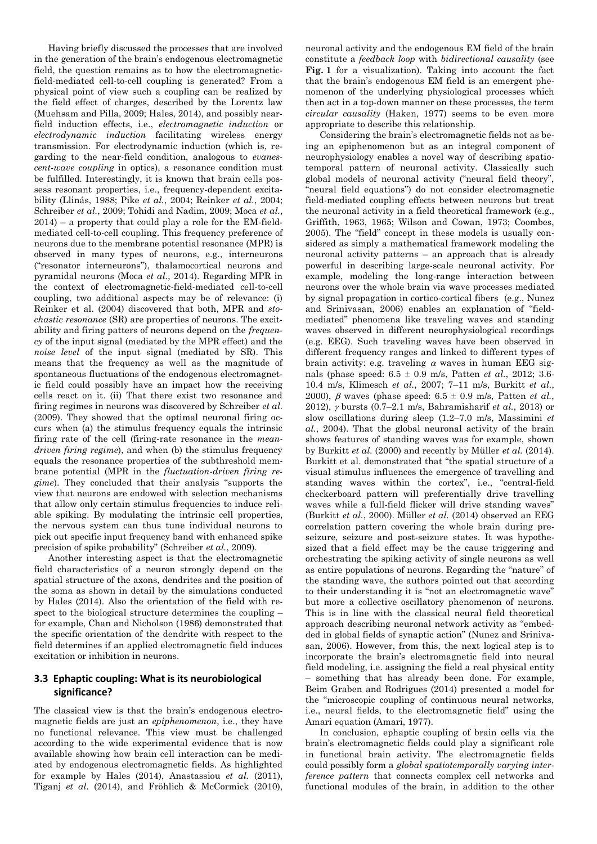Having briefly discussed the processes that are involved in the generation of the brain's endogenous electromagnetic field, the question remains as to how the electromagneticfield-mediated cell-to-cell coupling is generated? From a physical point of view such a coupling can be realized by the field effect of charges, described by the Lorentz law (Muehsam and Pilla, 2009; Hales, 2014), and possibly nearfield induction effects, i.e., *electromagnetic induction* or *electrodynamic induction* facilitating wireless energy transmission. For electrodynamic induction (which is, regarding to the near-field condition, analogous to *evanescent-wave coupling* in optics), a resonance condition must be fulfilled. Interestingly, it is known that brain cells possess resonant properties, i.e., frequency-dependent excitability (Llinás, 1988; Pike *et al.*, 2004; Reinker *et al.*, 2004; Schreiber *et al.*, 2009; Tohidi and Nadim, 2009; Moca *et al.*,  $2014$  – a property that could play a role for the EM-fieldmediated cell-to-cell coupling. This frequency preference of neurons due to the membrane potential resonance (MPR) is observed in many types of neurons, e.g., interneurons ("resonator interneurons"), thalamocortical neurons and pyramidal neurons (Moca *et al.*, 2014). Regarding MPR in the context of electromagnetic-field-mediated cell-to-cell coupling, two additional aspects may be of relevance: (i) Reinker et al. (2004) discovered that both, MPR and *stochastic resonance* (SR) are properties of neurons. The excitability and firing patters of neurons depend on the *frequency* of the input signal (mediated by the MPR effect) and the *noise level* of the input signal (mediated by SR). This means that the frequency as well as the magnitude of spontaneous fluctuations of the endogenous electromagnetic field could possibly have an impact how the receiving cells react on it. (ii) That there exist two resonance and firing regimes in neurons was discovered by Schreiber *et al.* (2009). They showed that the optimal neuronal firing occurs when (a) the stimulus frequency equals the intrinsic firing rate of the cell (firing-rate resonance in the *meandriven firing regime*), and when (b) the stimulus frequency equals the resonance properties of the subthreshold membrane potential (MPR in the *fluctuation-driven firing regime*). They concluded that their analysis "supports the view that neurons are endowed with selection mechanisms that allow only certain stimulus frequencies to induce reliable spiking. By modulating the intrinsic cell properties, the nervous system can thus tune individual neurons to pick out specific input frequency band with enhanced spike precision of spike probability" (Schreiber *et al.*, 2009).

Another interesting aspect is that the electromagnetic field characteristics of a neuron strongly depend on the spatial structure of the axons, dendrites and the position of the soma as shown in detail by the simulations conducted by Hales (2014). Also the orientation of the field with respect to the biological structure determines the coupling – for example, Chan and Nicholson (1986) demonstrated that the specific orientation of the dendrite with respect to the field determines if an applied electromagnetic field induces excitation or inhibition in neurons.

## **3.3 Ephaptic coupling: What is its neurobiological significance?**

The classical view is that the brain's endogenous electromagnetic fields are just an *epiphenomenon*, i.e., they have no functional relevance. This view must be challenged according to the wide experimental evidence that is now available showing how brain cell interaction can be mediated by endogenous electromagnetic fields. As highlighted for example by Hales (2014), Anastassiou *et al.* (2011), Tiganj *et al.* (2014), and Fröhlich & McCormick (2010), neuronal activity and the endogenous EM field of the brain constitute a *feedback loop* with *bidirectional causality* (see **Fig. 1** for a visualization). Taking into account the fact that the brain's endogenous EM field is an emergent phenomenon of the underlying physiological processes which then act in a top-down manner on these processes, the term *circular causality* (Haken, 1977) seems to be even more appropriate to describe this relationship.

Considering the brain's electromagnetic fields not as being an epiphenomenon but as an integral component of neurophysiology enables a novel way of describing spatiotemporal pattern of neuronal activity. Classically such global models of neuronal activity ("neural field theory", "neural field equations") do not consider electromagnetic field-mediated coupling effects between neurons but treat the neuronal activity in a field theoretical framework (e.g., Griffith, 1963, 1965; Wilson and Cowan, 1973; Coombes, 2005). The "field" concept in these models is usually considered as simply a mathematical framework modeling the neuronal activity patterns – an approach that is already powerful in describing large-scale neuronal activity. For example, modeling the long-range interaction between neurons over the whole brain via wave processes mediated by signal propagation in cortico-cortical fibers (e.g., Nunez and Srinivasan, 2006) enables an explanation of "fieldmediated" phenomena like traveling waves and standing waves observed in different neurophysiological recordings (e.g. EEG). Such traveling waves have been observed in different frequency ranges and linked to different types of brain activity: e.g. traveling  $\alpha$  waves in human EEG signals (phase speed: 6.5 ± 0.9 m/s, Patten *et al.*, 2012; 3.6- 10.4 m/s, Klimesch *et al.*, 2007; 7–11 m/s, Burkitt *et al.*, 2000),  $\beta$  waves (phase speed:  $6.5 \pm 0.9$  m/s, Patten *et al.*, 2012), bursts (0.7–2.1 m/s, Bahramisharif *et al.*, 2013) or slow oscillations during sleep (1.2–7.0 m/s, Massimini *et al.*, 2004). That the global neuronal activity of the brain shows features of standing waves was for example, shown by Burkitt *et al.* (2000) and recently by Müller *et al.* (2014). Burkitt et al. demonstrated that "the spatial structure of a visual stimulus influences the emergence of travelling and standing waves within the cortex", i.e., "central-field checkerboard pattern will preferentially drive travelling waves while a full-field flicker will drive standing waves" (Burkitt *et al.*, 2000). Müller *et al.* (2014) observed an EEG correlation pattern covering the whole brain during preseizure, seizure and post-seizure states. It was hypothesized that a field effect may be the cause triggering and orchestrating the spiking activity of single neurons as well as entire populations of neurons. Regarding the "nature" of the standing wave, the authors pointed out that according to their understanding it is "not an electromagnetic wave" but more a collective oscillatory phenomenon of neurons. This is in line with the classical neural field theoretical approach describing neuronal network activity as "embedded in global fields of synaptic action" (Nunez and Srinivasan, 2006). However, from this, the next logical step is to incorporate the brain's electromagnetic field into neural field modeling, i.e. assigning the field a real physical entity – something that has already been done. For example, Beim Graben and Rodrigues (2014) presented a model for the "microscopic coupling of continuous neural networks, i.e., neural fields, to the electromagnetic field" using the Amari equation (Amari, 1977).

In conclusion, ephaptic coupling of brain cells via the brain's electromagnetic fields could play a significant role in functional brain activity. The electromagnetic fields could possibly form a *global spatiotemporally varying interference pattern* that connects complex cell networks and functional modules of the brain, in addition to the other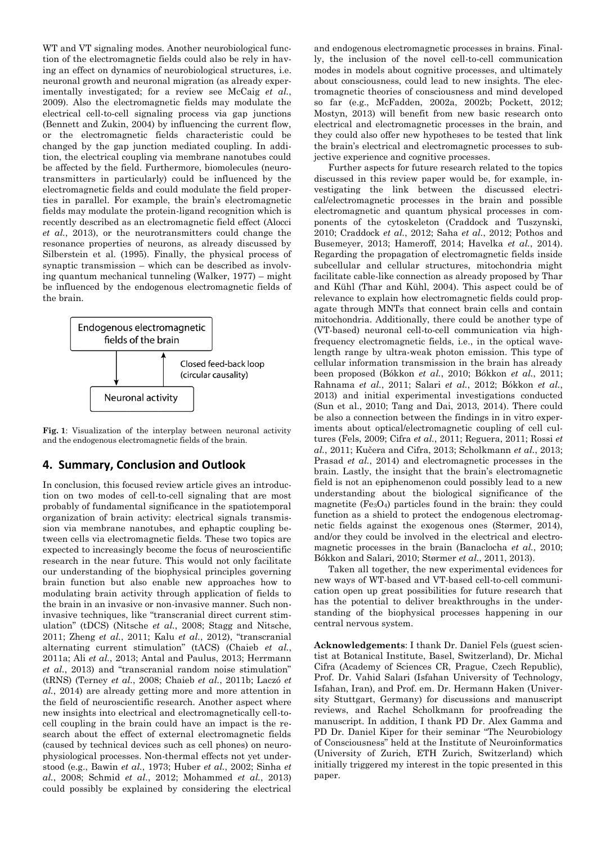WT and VT signaling modes. Another neurobiological function of the electromagnetic fields could also be rely in having an effect on dynamics of neurobiological structures, i.e. neuronal growth and neuronal migration (as already experimentally investigated; for a review see McCaig *et al.*, 2009). Also the electromagnetic fields may modulate the electrical cell-to-cell signaling process via gap junctions (Bennett and Zukin, 2004) by influencing the current flow, or the electromagnetic fields characteristic could be changed by the gap junction mediated coupling. In addition, the electrical coupling via membrane nanotubes could be affected by the field. Furthermore, biomolecules (neurotransmitters in particularly) could be influenced by the electromagnetic fields and could modulate the field properties in parallel. For example, the brain's electromagnetic fields may modulate the protein-ligand recognition which is recently described as an electromagnetic field effect (Alocci *et al.*, 2013), or the neurotransmitters could change the resonance properties of neurons, as already discussed by Silberstein et al. (1995). Finally, the physical process of synaptic transmission – which can be described as involving quantum mechanical tunneling (Walker, 1977) – might be influenced by the endogenous electromagnetic fields of the brain.



**Fig. 1**: Visualization of the interplay between neuronal activity and the endogenous electromagnetic fields of the brain.

# **4. Summary, Conclusion and Outlook**

In conclusion, this focused review article gives an introduction on two modes of cell-to-cell signaling that are most probably of fundamental significance in the spatiotemporal organization of brain activity: electrical signals transmission via membrane nanotubes, and ephaptic coupling between cells via electromagnetic fields. These two topics are expected to increasingly become the focus of neuroscientific research in the near future. This would not only facilitate our understanding of the biophysical principles governing brain function but also enable new approaches how to modulating brain activity through application of fields to the brain in an invasive or non-invasive manner. Such noninvasive techniques, like "transcranial direct current stimulation" (tDCS) (Nitsche *et al.*, 2008; Stagg and Nitsche, 2011; Zheng *et al.*, 2011; Kalu *et al.*, 2012), "transcranial alternating current stimulation" (tACS) (Chaieb *et al.*, 2011a; Ali *et al.*, 2013; Antal and Paulus, 2013; Herrmann *et al.*, 2013) and "transcranial random noise stimulation" (tRNS) (Terney *et al.*, 2008; Chaieb *et al.*, 2011b; Laczó *et al.*, 2014) are already getting more and more attention in the field of neuroscientific research. Another aspect where new insights into electrical and electromagnetically cell-tocell coupling in the brain could have an impact is the research about the effect of external electromagnetic fields (caused by technical devices such as cell phones) on neurophysiological processes. Non-thermal effects not yet understood (e.g., Bawin *et al.*, 1973; Huber *et al.*, 2002; Sinha *et al.*, 2008; Schmid *et al.*, 2012; Mohammed *et al.*, 2013) could possibly be explained by considering the electrical and endogenous electromagnetic processes in brains. Finally, the inclusion of the novel cell-to-cell communication modes in models about cognitive processes, and ultimately about consciousness, could lead to new insights. The electromagnetic theories of consciousness and mind developed so far (e.g., McFadden, 2002a, 2002b; Pockett, 2012; Mostyn, 2013) will benefit from new basic research onto electrical and electromagnetic processes in the brain, and they could also offer new hypotheses to be tested that link the brain's electrical and electromagnetic processes to subjective experience and cognitive processes.

Further aspects for future research related to the topics discussed in this review paper would be, for example, investigating the link between the discussed electrical/electromagnetic processes in the brain and possible electromagnetic and quantum physical processes in components of the cytoskeleton (Craddock and Tuszynski, 2010; Craddock *et al.*, 2012; Saha *et al.*, 2012; Pothos and Busemeyer, 2013; Hameroff, 2014; Havelka *et al.*, 2014). Regarding the propagation of electromagnetic fields inside subcellular and cellular structures, mitochondria might facilitate cable-like connection as already proposed by Thar and Kühl (Thar and Kühl, 2004). This aspect could be of relevance to explain how electromagnetic fields could propagate through MNTs that connect brain cells and contain mitochondria. Additionally, there could be another type of (VT-based) neuronal cell-to-cell communication via highfrequency electromagnetic fields, i.e., in the optical wavelength range by ultra-weak photon emission. This type of cellular information transmission in the brain has already been proposed (Bókkon *et al.*, 2010; Bókkon *et al.*, 2011; Rahnama *et al.*, 2011; Salari *et al.*, 2012; Bókkon *et al.*, 2013) and initial experimental investigations conducted (Sun et al., 2010; Tang and Dai, 2013, 2014). There could be also a connection between the findings in in vitro experiments about optical/electromagnetic coupling of cell cultures (Fels, 2009; Cifra *et al.*, 2011; Reguera, 2011; Rossi *et al.*, 2011; Kučera and Cifra, 2013; Scholkmann *et al.*, 2013; Prasad *et al.*, 2014) and electromagnetic processes in the brain. Lastly, the insight that the brain's electromagnetic field is not an epiphenomenon could possibly lead to a new understanding about the biological significance of the magnetite  $(F_{204})$  particles found in the brain: they could function as a shield to protect the endogenous electromagnetic fields against the exogenous ones (Størmer, 2014), and/or they could be involved in the electrical and electromagnetic processes in the brain (Banaclocha *et al.*, 2010; Bókkon and Salari, 2010; Størmer *et al.*, 2011, 2013).

Taken all together, the new experimental evidences for new ways of WT-based and VT-based cell-to-cell communication open up great possibilities for future research that has the potential to deliver breakthroughs in the understanding of the biophysical processes happening in our central nervous system.

**Acknowledgements**: I thank Dr. Daniel Fels (guest scientist at Botanical Institute, Basel, Switzerland), Dr. Michal Cifra (Academy of Sciences CR, Prague, Czech Republic), Prof. Dr. Vahid Salari (Isfahan University of Technology, Isfahan, Iran), and Prof. em. Dr. Hermann Haken (University Stuttgart, Germany) for discussions and manuscript reviews, and Rachel Scholkmann for proofreading the manuscript. In addition, I thank PD Dr. Alex Gamma and PD Dr. Daniel Kiper for their seminar "The Neurobiology of Consciousness" held at the Institute of Neuroinformatics (University of Zurich, ETH Zurich, Switzerland) which initially triggered my interest in the topic presented in this paper.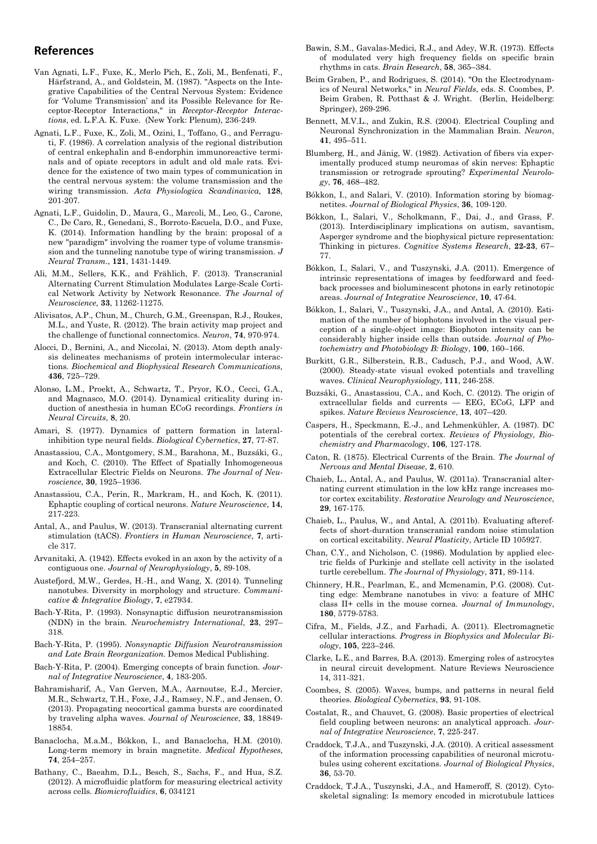# **References**

- Van Agnati, L.F., Fuxe, K., Merlo Pich, E., Zoli, M., Benfenati, F., Härfstrand, A., and Goldstein, M. (1987). "Aspects on the Integrative Capabilities of the Central Nervous System: Evidence for 'Volume Transmission' and its Possible Relevance for Receptor-Receptor Interactions," in *Receptor-Receptor Interactions*, ed. L.F.A. K. Fuxe. (New York: Plenum), 236-249.
- Agnati, L.F., Fuxe, K., Zoli, M., Ozini, I., Toffano, G., and Ferraguti, F. (1986). A correlation analysis of the regional distribution of central enkephalin and β-endorphin immunoreactive terminals and of opiate receptors in adult and old male rats. Evidence for the existence of two main types of communication in the central nervous system: the volume transmission and the wiring transmission. *Acta Physiologica Scandinavica,* **128**, 201-207.
- Agnati, L.F., Guidolin, D., Maura, G., Marcoli, M., Leo, G., Carone, C., De Caro, R., Genedani, S., Borroto-Escuela, D.O., and Fuxe, K. (2014). Information handling by the brain: proposal of a new "paradigm" involving the roamer type of volume transmission and the tunneling nanotube type of wiring transmission. *J Neural Transm*., **121**, 1431-1449.
- Ali, M.M., Sellers, K.K., and Frählich, F. (2013). Transcranial Alternating Current Stimulation Modulates Large-Scale Cortical Network Activity by Network Resonance. *The Journal of Neuroscience,* **33**, 11262-11275.
- Alivisatos, A.P., Chun, M., Church, G.M., Greenspan, R.J., Roukes, M.L., and Yuste, R. (2012). The brain activity map project and the challenge of functional connectomics. *Neuron*, **74**, 970-974.
- Alocci, D., Bernini, A., and Niccolai, N. (2013). Atom depth analysis delineates mechanisms of protein intermolecular interactions. *Biochemical and Biophysical Research Communications,*  **436**, 725–729.
- Alonso, L.M., Proekt, A., Schwartz, T., Pryor, K.O., Cecci, G.A., and Magnasco, M.O. (2014). Dynamical criticality during induction of anesthesia in human ECoG recordings. *Frontiers in Neural Circuits*, **8**, 20.
- Amari, S. (1977). Dynamics of pattern formation in lateralinhibition type neural fields. *Biological Cybernetics*, **27**, 77-87.
- Anastassiou, C.A., Montgomery, S.M., Barahona, M., Buzsáki, G., and Koch, C. (2010). The Effect of Spatially Inhomogeneous Extracellular Electric Fields on Neurons. *The Journal of Neuroscience*, **30**, 1925–1936.
- Anastassiou, C.A., Perin, R., Markram, H., and Koch, K. (2011). Ephaptic coupling of cortical neurons. *Nature Neuroscience*, **14**, 217-223.
- Antal, A., and Paulus, W. (2013). Transcranial alternating current stimulation (tACS). *Frontiers in Human Neuroscience*, **7**, article 317.
- Arvanitaki, A. (1942). Effects evoked in an axon by the activity of a contiguous one. *Journal of Neurophysiology*, **5**, 89-108.
- Austefjord, M.W., Gerdes, H.-H., and Wang, X. (2014). Tunneling nanotubes. Diversity in morphology and structure. *Communicative & Integrative Biology*, **7**, e27934.
- Bach-Y-Rita, P. (1993). Nonsynaptic diffusion neurotransmission (NDN) in the brain. *Neurochemistry International*, **23**, 297– 318.
- Bach-Y-Rita, P. (1995). *Nonsynaptic Diffusion Neurotransmission and Late Brain Reorganization.* Demos Medical Publishing.
- Bach-Y-Rita, P. (2004). Emerging concepts of brain function. *Journal of Integrative Neuroscience*, **4**, 183-205.
- Bahramisharif, A., Van Gerven, M.A., Aarnoutse, E.J., Mercier, M.R., Schwartz, T.H., Foxe, J.J., Ramsey, N.F., and Jensen, O. (2013). Propagating neocortical gamma bursts are coordinated by traveling alpha waves. *Journal of Neuroscience*, **33**, 18849- 18854.
- Banaclocha, M.a.M., Bókkon, I., and Banaclocha, H.M. (2010). Long-term memory in brain magnetite. *Medical Hypotheses*, **74**, 254–257.
- Bathany, C., Baeahm, D.L., Besch, S., Sachs, F., and Hua, S.Z. (2012). A microfluidic platform for measuring electrical activity across cells. *Biomicrofluidics*, **6**, 034121
- Bawin, S.M., Gavalas-Medici, R.J., and Adey, W.R. (1973). Effects of modulated very high frequency fields on specific brain rhythms in cats. *Brain Research*, **58**, 365–384.
- Beim Graben, P., and Rodrigues, S. (2014). "On the Electrodynamics of Neural Networks," in *Neural Fields*, eds. S. Coombes, P. Beim Graben, R. Potthast & J. Wright. (Berlin, Heidelberg: Springer), 269-296.
- Bennett, M.V.L., and Zukin, R.S. (2004). Electrical Coupling and Neuronal Synchronization in the Mammalian Brain. *Neuron*, **41**, 495–511.
- Blumberg, H., and Jänig, W. (1982). Activation of fibers via experimentally produced stump neuromas of skin nerves: Ephaptic transmission or retrograde sprouting? *Experimental Neurology*, **76**, 468–482.
- Bókkon, I., and Salari, V. (2010). Information storing by biomagnetites. *Journal of Biological Physics*, **36**, 109-120.
- Bókkon, I., Salari, V., Scholkmann, F., Dai, J., and Grass, F. (2013). Interdisciplinary implications on autism, savantism, Asperger syndrome and the biophysical picture representation: Thinking in pictures. *Cognitive Systems Research*, **22-23**, 67– 77.
- Bókkon, I., Salari, V., and Tuszynski, J.A. (2011). Emergence of intrinsic representations of images by feedforward and feedback processes and bioluminescent photons in early retinotopic areas. *Journal of Integrative Neuroscience*, **10**, 47-64.
- Bókkon, I., Salari, V., Tuszynski, J.A., and Antal, A. (2010). Estimation of the number of biophotons involved in the visual perception of a single-object image: Biophoton intensity can be considerably higher inside cells than outside. *Journal of Photochemistry and Photobiology B: Biology*, **100**, 160–166.
- Burkitt, G.R., Silberstein, R.B., Cadusch, P.J., and Wood, A.W. (2000). Steady-state visual evoked potentials and travelling waves. *Clinical Neurophysiology*, **111**, 246-258.
- Buzsáki, G., Anastassiou, C.A., and Koch, C. (2012). The origin of extracellular fields and currents — EEG, ECoG, LFP and spikes. *Nature Reviews Neuroscience*, **13**, 407–420.
- Caspers, H., Speckmann, E.-J., and Lehmenkühler, A. (1987). DC potentials of the cerebral cortex. *Reviews of Physiology, Biochemistry and Pharmacology*, **106**, 127-178.
- Caton, R. (1875). Electrical Currents of the Brain. *The Journal of Nervous and Mental Disease*, **2**, 610.
- Chaieb, L., Antal, A., and Paulus, W. (2011a). Transcranial alternating current stimulation in the low kHz range increases motor cortex excitability. *Restorative Neurology and Neuroscience*, **29**, 167-175.
- Chaieb, L., Paulus, W., and Antal, A. (2011b). Evaluating aftereffects of short-duration transcranial random noise stimulation on cortical excitability. *Neural Plasticity*, Article ID 105927.
- Chan, C.Y., and Nicholson, C. (1986). Modulation by applied electric fields of Purkinje and stellate cell activity in the isolated turtle cerebellum. *The Journal of Physiology*, **371**, 89-114.
- Chinnery, H.R., Pearlman, E., and Mcmenamin, P.G. (2008). Cutting edge: Membrane nanotubes in vivo: a feature of MHC class II+ cells in the mouse cornea. *Journal of Immunology*, **180**, 5779-5783.
- Cifra, M., Fields, J.Z., and Farhadi, A. (2011). Electromagnetic cellular interactions. *Progress in Biophysics and Molecular Biology*, **105**, 223–246.
- Clarke, L.E., and Barres, B.A. (2013). Emerging roles of astrocytes in neural circuit development. Nature Reviews Neuroscience 14, 311-321.
- Coombes, S. (2005). Waves, bumps, and patterns in neural field theories. *Biological Cybernetics*, **93**, 91-108.
- Costalat, R., and Chauvet, G. (2008). Basic properties of electrical field coupling between neurons: an analytical approach. *Journal of Integrative Neuroscience*, **7**, 225-247.
- Craddock, T.J.A., and Tuszynski, J.A. (2010). A critical assessment of the information processing capabilities of neuronal microtubules using coherent excitations. *Journal of Biological Physics*, **36**, 53-70.
- Craddock, T.J.A., Tuszynski, J.A., and Hameroff, S. (2012). Cytoskeletal signaling: Is memory encoded in microtubule lattices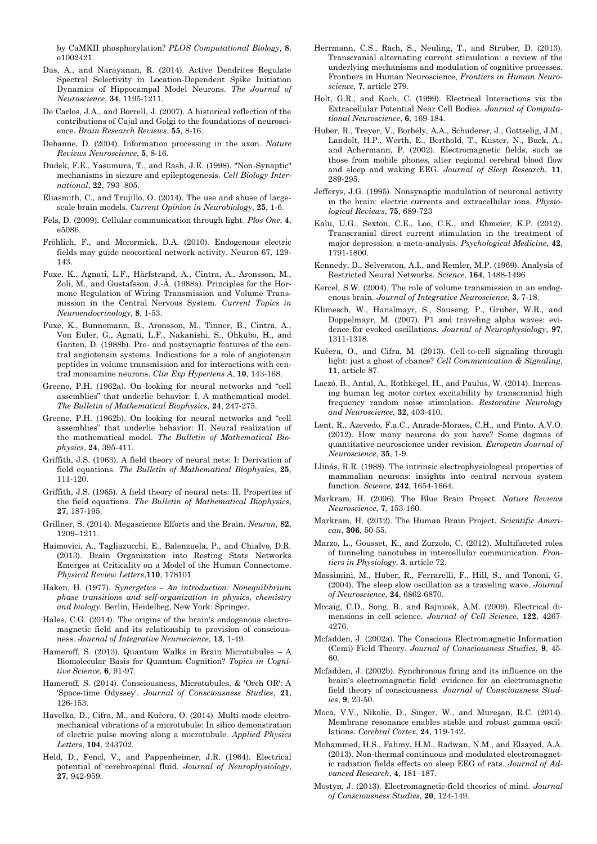by CaMKII phosphorylation? *PLOS Computational Biology*, **8**, e1002421

- Das, A., and Narayanan, R. (2014). Active Dendrites Regulate Spectral Selectivity in Location-Dependent Spike Initiation Dynamics of Hippocampal Model Neurons. *The Journal of Neuroscience*, **34**, 1195-1211.
- De Carlos, J.A., and Borrell, J. (2007). A historical reflection of the contributions of Cajal and Golgi to the foundations of neuroscience. *Brain Research Reviews*, **55**, 8-16.
- Debanne, D. (2004). Information processing in the axon. *Nature Reviews Neuroscience*, **5**, 8-16.
- Dudek, F.E., Yasumura, T., and Rash, J.E. (1998). "Non-Synaptic" mechanisms in siezure and epileptogenesis. *Cell Biology International*, **22**, 793–805.
- Eliasmith, C., and Trujillo, O. (2014). The use and abuse of largescale brain models. *Current Opinion in Neurobiology*, **25**, 1-6.
- Fels, D. (2009). Cellular communication through light. *Plos One*, **4**, e5086.
- Fröhlich, F., and Mccormick, D.A. (2010). Endogenous electric fields may guide neocortical network activity. Neuron 67, 129- 143.
- Fuxe, K., Agnati, L.F., Härfstrand, A., Cintra, A., Aronsson, M., Zoli, M., and Gustafsson, J.-Å. (1988a). Principles for the Hormone Regulation of Wiring Transmission and Volume Transmission in the Central Nervous System. *Current Topics in Neuroendocrinology*, **8**, 1-53.
- Fuxe, K., Bunnemann, B., Aronsson, M., Tinner, B., Cintra, A., Von Euler, G., Agnati, L.F., Nakanishi, S., Ohkubo, H., and Ganten, D. (1988b). Pre- and postsynaptic features of the central angiotensin systems. Indications for a role of angiotensin peptides in volume transmission and for interactions with central monoamine neurons. *Clin Exp Hypertens A*, **10**, 143-168.
- Greene, P.H. (1962a). On looking for neural networks and "cell assemblies" that underlie behavior: I. A mathematical model. *The Bulletin of Mathematical Biophysics*, **24**, 247-275.
- Greene, P.H. (1962b). On looking for neural networks and "cell assemblies" that underlie behavior: II. Neural realization of the mathematical model. *The Bulletin of Mathematical Biophysics*, **24**, 395-411.
- Griffith, J.S. (1963). A field theory of neural nets: I: Derivation of field equations. *The Bulletin of Mathematical Biophysics*, **25**, 111-120.
- Griffith, J.S. (1965). A field theory of neural nets: II. Properties of the field equations. *The Bulletin of Mathematical Biophysics*, **27**, 187-195.
- Grillner, S. (2014). Megascience Efforts and the Brain. *Neuron*, **82**, 1209–1211.
- Haimovici, A., Tagliazucchi, E., Balenzuela, P., and Chialvo, D.R. (2013). Brain Organization into Resting State Networks Emerges at Criticality on a Model of the Human Connectome. *Physical Review Letters*,**110**, 178101
- Haken, H. (1977). *Synergetics – An introduction: Nonequilibrium phase transitions and self-organization in physics, chemistry and biology.* Berlin, Heidelbeg, New York: Springer.
- Hales, C.G. (2014). The origins of the brain's endogenous electromagnetic field and its relationship to provision of consciousness. *Journal of Integrative Neuroscience*, **13**, 1-49.
- Hameroff, S. (2013). Quantum Walks in Brain Microtubules A Biomolecular Basis for Quantum Cognition? *Topics in Cognitive Science*, **6**, 91-97.
- Hameroff, S. (2014). Consciousness, Microtubules, & 'Orch OR': A 'Space-time Odyssey'. *Journal of Consciousness Studies*, **21**, 126-153.
- Havelka, D., Cifra, M., and Kučera, O. (2014). Multi-mode electromechanical vibrations of a microtubule: In silico demonstration of electric pulse moving along a microtubule. *Applied Physics Letters*, **104**, 243702.
- Held, D., Fencl, V., and Pappenheimer, J.R. (1964). Electrical potential of cerebrospinal fluid. *Journal of Neurophysiology*, **27**, 942-959.
- Herrmann, C.S., Rach, S., Neuling, T., and Strüber, D. (2013). Transcranial alternating current stimulation: a review of the underlying mechanisms and modulation of cognitive processes. Frontiers in Human Neuroscience, *Frontiers in Human Neuroscience*, **7**, article 279.
- Holt, G.R., and Koch, C. (1999). Electrical Interactions via the Extracellular Potential Near Cell Bodies. *Journal of Computational Neuroscience*, **6**, 169-184.
- Huber, R., Treyer, V., Borbély, A.A., Schuderer, J., Gottselig, J.M., Landolt, H.P., Werth, E., Berthold, T., Kuster, N., Buck, A., and Achermann, P. (2002). Electromagnetic fields, such as those from mobile phones, alter regional cerebral blood flow and sleep and waking EEG. *Journal of Sleep Research*, **11**, 289-295.
- Jefferys, J.G. (1995). Nonsynaptic modulation of neuronal activity in the brain: electric currents and extracellular ions. *Physiological Reviews*, **75**, 689-723
- Kalu, U.G., Sexton, C.E., Loo, C.K., and Ebmeier, K.P. (2012). Transcranial direct current stimulation in the treatment of major depression: a meta-analysis. *Psychological Medicine*, **42**, 1791-1800.
- Kennedy, D., Selverston, A.I., and Remler, M.P. (1969). Analysis of Restricted Neural Networks. *Science*, **164**, 1488-1496
- Kercel, S.W. (2004). The role of volume transmission in an endogenous brain. *Journal of Integrative Neuroscience*, **3**, 7-18.
- Klimesch, W., Hanslmayr, S., Sauseng, P., Gruber, W.R., and Doppelmayr, M. (2007). P1 and traveling alpha waves: evidence for evoked oscillations. *Journal of Neurophysiology*, **97**, 1311-1318.
- Kučera, O., and Cifra, M. (2013). Cell-to-cell signaling through light: just a ghost of chance? *Cell Communication & Signaling*, **11**, article 87.
- Laczó, B., Antal, A., Rothkegel, H., and Paulus, W. (2014). Increasing human leg motor cortex excitability by transcranial high frequency random noise stimulation. *Restorative Neurology and Neuroscience*, **32**, 403-410.
- Lent, R., Azevedo, F.a.C., Anrade-Moraes, C.H., and Pinto, A.V.O. (2012). How many neurons do you have? Some dogmas of quantitative neuroscience under revision. *European Journal of Neuroscience*, **35**, 1-9.
- Llinás, R.R. (1988). The intrinsic electrophysiological properties of mammalian neurons: insights into central nervous system function. *Science*, **242**, 1654-1664.
- Markram, H. (2006). The Blue Brain Project. *Nature Reviews Neuroscience*, **7**, 153-160.
- Markram, H. (2012). The Human Brain Project. *Scientific American*, **306**, 50-55.
- Marzo, L., Gousset, K., and Zurzolo, C. (2012). Multifaceted roles of tunneling nanotubes in intercellular communication. *Frontiers in Physiology*, **3**, article 72.
- Massimini, M., Huber, R., Ferrarelli, F., Hill, S., and Tononi, G. (2004). The sleep slow oscillation as a traveling wave. *Journal of Neuroscience*, **24**, 6862-6870.
- Mccaig, C.D., Song, B., and Rajnicek, A.M. (2009). Electrical dimensions in cell science. *Journal of Cell Science*, **122**, 4267- 4276.
- Mcfadden, J. (2002a). The Conscious Electromagnetic Information (Cemi) Field Theory. *Journal of Consciousness Studies*, **9**, 45- 60.
- Mcfadden, J. (2002b). Synchronous firing and its influence on the brain's electromagnetic field: evidence for an electromagnetic field theory of consciousness. *Journal of Consciousness Studies*, **9**, 23-50.
- Moca, V.V., Nikolic, D., Singer, W., and Mureşan, R.C. (2014). Membrane resonance enables stable and robust gamma oscillations. *Cerebral Cortex*, **24**, 119-142.
- Mohammed, H.S., Fahmy, H.M., Radwan, N.M., and Elsayed, A.A. (2013). Non-thermal continuous and modulated electromagnetic radiation fields effects on sleep EEG of rats. *Journal of Advanced Research*, **4**, 181–187.
- Mostyn, J. (2013). Electromagnetic-field theories of mind. *Journal of Consciousness Studies*, **20**, 124-149.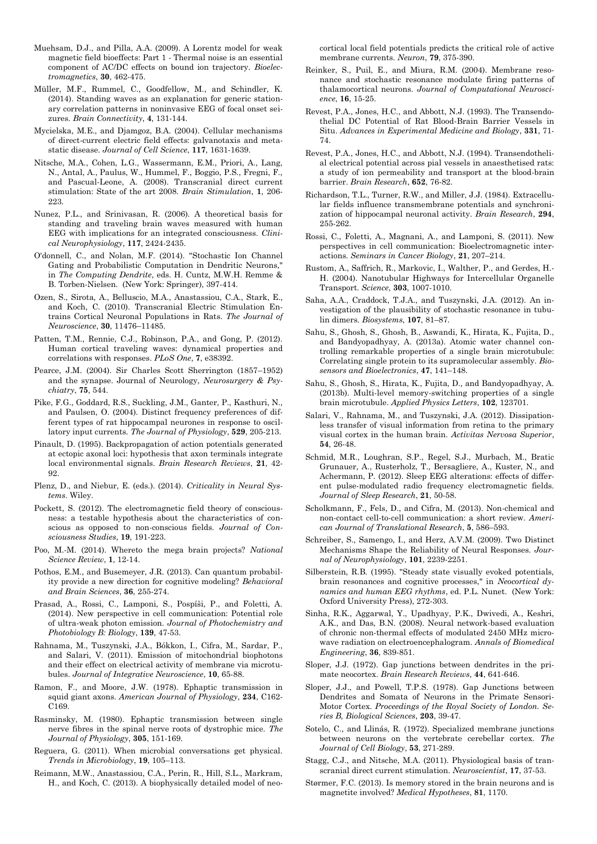- Muehsam, D.J., and Pilla, A.A. (2009). A Lorentz model for weak magnetic field bioeffects: Part 1 - Thermal noise is an essential component of AC/DC effects on bound ion trajectory. *Bioelectromagnetics*, **30**, 462-475.
- Müller, M.F., Rummel, C., Goodfellow, M., and Schindler, K. (2014). Standing waves as an explanation for generic stationary correlation patterns in noninvasive EEG of focal onset seizures. *Brain Connectivity*, **4**, 131-144.
- Mycielska, M.E., and Djamgoz, B.A. (2004). Cellular mechanisms of direct-current electric field effects: galvanotaxis and metastatic disease. *Journal of Cell Science*, **117**, 1631-1639.
- Nitsche, M.A., Cohen, L.G., Wassermann, E.M., Priori, A., Lang, N., Antal, A., Paulus, W., Hummel, F., Boggio, P.S., Fregni, F., and Pascual-Leone, A. (2008). Transcranial direct current stimulation: State of the art 2008. *Brain Stimulation*, **1**, 206- 223.
- Nunez, P.L., and Srinivasan, R. (2006). A theoretical basis for standing and traveling brain waves measured with human EEG with implications for an integrated consciousness. *Clinical Neurophysiology*, **117**, 2424-2435.
- O'donnell, C., and Nolan, M.F. (2014). "Stochastic Ion Channel Gating and Probabilistic Computation in Dendritic Neurons," in *The Computing Dendrite*, eds. H. Cuntz, M.W.H. Remme & B. Torben-Nielsen. (New York: Springer), 397-414.
- Ozen, S., Sirota, A., Belluscio, M.A., Anastassiou, C.A., Stark, E., and Koch, C. (2010). Transcranial Electric Stimulation Entrains Cortical Neuronal Populations in Rats. *The Journal of Neuroscience*, **30**, 11476–11485.
- Patten, T.M., Rennie, C.J., Robinson, P.A., and Gong, P. (2012). Human cortical traveling waves: dynamical properties and correlations with responses. *PLoS One*, **7**, e38392.
- Pearce, J.M. (2004). Sir Charles Scott Sherrington (1857–1952) and the synapse. Journal of Neurology, *Neurosurgery & Psychiatry*, **75**, 544.
- Pike, F.G., Goddard, R.S., Suckling, J.M., Ganter, P., Kasthuri, N., and Paulsen, O. (2004). Distinct frequency preferences of different types of rat hippocampal neurones in response to oscillatory input currents. *The Journal of Physiology*, **529**, 205-213.
- Pinault, D. (1995). Backpropagation of action potentials generated at ectopic axonal loci: hypothesis that axon terminals integrate local environmental signals. *Brain Research Reviews*, **21**, 42- **92**
- Plenz, D., and Niebur, E. (eds.). (2014). *Criticality in Neural Systems*. Wiley.
- Pockett, S. (2012). The electromagnetic field theory of consciousness: a testable hypothesis about the characteristics of conscious as opposed to non-conscious fields. *Journal of Consciousness Studies*, **19**, 191-223.
- Poo, M.-M. (2014). Whereto the mega brain projects? *National Science Review*, **1**, 12-14.
- Pothos, E.M., and Busemeyer, J.R. (2013). Can quantum probability provide a new direction for cognitive modeling? *Behavioral and Brain Sciences*, **36**, 255-274.
- Prasad, A., Rossi, C., Lamponi, S., Pospíši, P., and Foletti, A. (2014). New perspective in cell communication: Potential role of ultra-weak photon emission. *Journal of Photochemistry and Photobiology B: Biology*, **139**, 47-53.
- Rahnama, M., Tuszynski, J.A., Bókkon, I., Cifra, M., Sardar, P., and Salari, V. (2011). Emission of mitochondrial biophotons and their effect on electrical activity of membrane via microtubules. *Journal of Integrative Neuroscience*, **10**, 65-88.
- Ramon, F., and Moore, J.W. (1978). Ephaptic transmission in squid giant axons. *American Journal of Physiology*, **234**, C162- C169.
- Rasminsky, M. (1980). Ephaptic transmission between single nerve fibres in the spinal nerve roots of dystrophic mice. *The Journal of Physiology*, **305**, 151-169.
- Reguera, G. (2011). When microbial conversations get physical. *Trends in Microbiology*, **19**, 105–113.
- Reimann, M.W., Anastassiou, C.A., Perin, R., Hill, S.L., Markram, H., and Koch, C. (2013). A biophysically detailed model of neo-

cortical local field potentials predicts the critical role of active membrane currents. *Neuron*, **79**, 375-390.

- Reinker, S., Puil, E., and Miura, R.M. (2004). Membrane resonance and stochastic resonance modulate firing patterns of thalamocortical neurons. *Journal of Computational Neuroscience*, **16**, 15-25.
- Revest, P.A., Jones, H.C., and Abbott, N.J. (1993). The Transendothelial DC Potential of Rat Blood-Brain Barrier Vessels in Situ. *Advances in Experimental Medicine and Biology*, **331**, 71- 74.
- Revest, P.A., Jones, H.C., and Abbott, N.J. (1994). Transendothelial electrical potential across pial vessels in anaesthetised rats: a study of ion permeability and transport at the blood-brain barrier. *Brain Research*, **652**, 76-82.
- Richardson, T.L., Turner, R.W., and Miller, J.J. (1984). Extracellular fields influence transmembrane potentials and synchronization of hippocampal neuronal activity. *Brain Research*, **294**, 255-262.
- Rossi, C., Foletti, A., Magnani, A., and Lamponi, S. (2011). New perspectives in cell communication: Bioelectromagnetic interactions. *Seminars in Cancer Biology*, **21**, 207–214.
- Rustom, A., Saffrich, R., Markovic, I., Walther, P., and Gerdes, H.- H. (2004). Nanotubular Highways for Intercellular Organelle Transport. *Science*, **303**, 1007-1010.
- Saha, A.A., Craddock, T.J.A., and Tuszynski, J.A. (2012). An investigation of the plausibility of stochastic resonance in tubulin dimers. *Biosystems*, **107**, 81–87.
- Sahu, S., Ghosh, S., Ghosh, B., Aswandi, K., Hirata, K., Fujita, D., and Bandyopadhyay, A. (2013a). Atomic water channel controlling remarkable properties of a single brain microtubule: Correlating single protein to its supramolecular assembly. *Biosensors and Bioelectronics*, **47**, 141–148.
- Sahu, S., Ghosh, S., Hirata, K., Fujita, D., and Bandyopadhyay, A. (2013b). Multi-level memory-switching properties of a single brain microtubule. *Applied Physics Letters*, **102**, 123701.
- Salari, V., Rahnama, M., and Tuszynski, J.A. (2012). Dissipationless transfer of visual information from retina to the primary visual cortex in the human brain. *Activitas Nervosa Superior*, **54**, 26-48.
- Schmid, M.R., Loughran, S.P., Regel, S.J., Murbach, M., Bratic Grunauer, A., Rusterholz, T., Bersagliere, A., Kuster, N., and Achermann, P. (2012). Sleep EEG alterations: effects of different pulse-modulated radio frequency electromagnetic fields. *Journal of Sleep Research*, **21**, 50-58.
- Scholkmann, F., Fels, D., and Cifra, M. (2013). Non-chemical and non-contact cell-to-cell communication: a short review. *American Journal of Translational Research*, **5**, 586–593.
- Schreiber, S., Samengo, I., and Herz, A.V.M. (2009). Two Distinct Mechanisms Shape the Reliability of Neural Responses. *Journal of Neurophysiology*, **101**, 2239-2251.
- Silberstein, R.B. (1995). "Steady state visually evoked potentials, brain resonances and cognitive processes," in *Neocortical dynamics and human EEG rhythms*, ed. P.L. Nunet. (New York: Oxford University Press), 272-303.
- Sinha, R.K., Aggarwal, Y., Upadhyay, P.K., Dwivedi, A., Keshri, A.K., and Das, B.N. (2008). Neural network-based evaluation of chronic non-thermal effects of modulated 2450 MHz microwave radiation on electroencephalogram. *Annals of Biomedical Engineering*, **36**, 839-851.
- Sloper, J.J. (1972). Gap junctions between dendrites in the primate neocortex. *Brain Research Reviews*, **44**, 641-646.
- Sloper, J.J., and Powell, T.P.S. (1978). Gap Junctions between Dendrites and Somata of Neurons in the Primate Sensori-Motor Cortex. *Proceedings of the Royal Society of London. Series B, Biological Sciences*, **203**, 39-47.
- Sotelo, C., and Llinás, R. (1972). Specialized membrane junctions between neurons on the vertebrate cerebellar cortex. *The Journal of Cell Biology*, **53**, 271-289.
- Stagg, C.J., and Nitsche, M.A. (2011). Physiological basis of transcranial direct current stimulation. *Neuroscientist*, **17**, 37-53.
- Størmer, F.C. (2013). Is memory stored in the brain neurons and is magnetite involved? *Medical Hypotheses*, **81**, 1170.